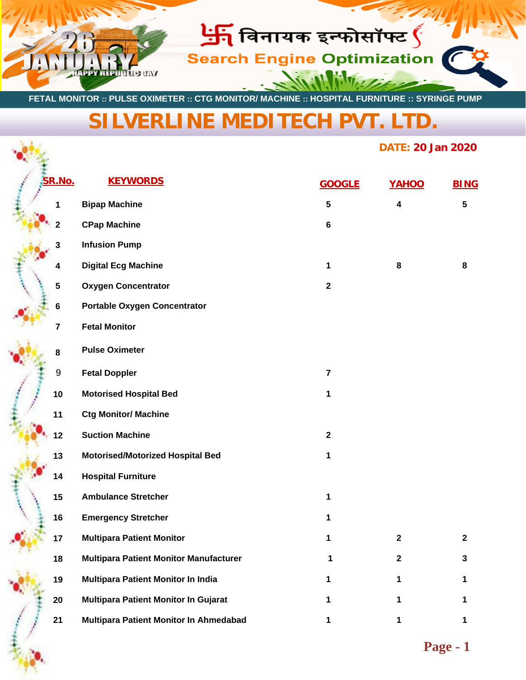

 **FETAL MONITOR :: PULSE OXIMETER :: CTG MONITOR/ MACHINE :: HOSPITAL FURNITURE :: SYRINGE PUMP**

## **[SILVERLINE MEDITECH PVT. LTD.](https://www.silverlinemeditech.com/)**

## **DATE: 20 Jan 2020**

| SR.No.         | <b>KEYWORDS</b>                               | <b>GOOGLE</b>  | YAHOO            | <b>BING</b>             |
|----------------|-----------------------------------------------|----------------|------------------|-------------------------|
| 1              | <b>Bipap Machine</b>                          | $5\phantom{a}$ | 4                | $\overline{\mathbf{5}}$ |
|                | <b>CPap Machine</b>                           | $\bf 6$        |                  |                         |
| 3              | <b>Infusion Pump</b>                          |                |                  |                         |
| 4              | <b>Digital Ecg Machine</b>                    | 1              | 8                | 8                       |
| 5              | <b>Oxygen Concentrator</b>                    | $\mathbf 2$    |                  |                         |
| 6              | <b>Portable Oxygen Concentrator</b>           |                |                  |                         |
| $\overline{7}$ | <b>Fetal Monitor</b>                          |                |                  |                         |
| 8              | <b>Pulse Oximeter</b>                         |                |                  |                         |
| 9              | <b>Fetal Doppler</b>                          | $\overline{7}$ |                  |                         |
| 10             | <b>Motorised Hospital Bed</b>                 | 1              |                  |                         |
| 11             | <b>Ctg Monitor/ Machine</b>                   |                |                  |                         |
| 12             | <b>Suction Machine</b>                        | $\mathbf{2}$   |                  |                         |
| 13             | <b>Motorised/Motorized Hospital Bed</b>       | 1              |                  |                         |
| 14             | <b>Hospital Furniture</b>                     |                |                  |                         |
| 15             | <b>Ambulance Stretcher</b>                    | 1              |                  |                         |
| 16             | <b>Emergency Stretcher</b>                    | 1              |                  |                         |
| 17             | <b>Multipara Patient Monitor</b>              | 1              | $\boldsymbol{2}$ | $\mathbf 2$             |
| 18             | <b>Multipara Patient Monitor Manufacturer</b> |                | 2                | 3                       |
| 19             | Multipara Patient Monitor In India            |                | 1                | 1                       |
| 20             | Multipara Patient Monitor In Gujarat          |                | 1                | 1                       |
| 21             | Multipara Patient Monitor In Ahmedabad        | 1              | 1                | 1                       |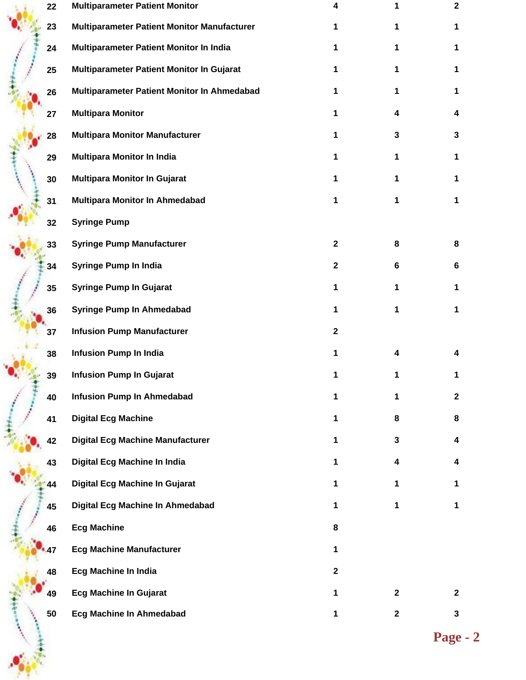| 22 | <b>Multiparameter Patient Monitor</b>       | 4            |              | $\mathbf{2}$ |
|----|---------------------------------------------|--------------|--------------|--------------|
| 23 | Multiparameter Patient Monitor Manufacturer | 1            |              | 1            |
| 24 | Multiparameter Patient Monitor In India     | 1            | 1            | 1            |
| 25 | Multiparameter Patient Monitor In Gujarat   | 1            | 1            | 1            |
| 26 | Multiparameter Patient Monitor In Ahmedabad | 1.           | 1            | 1            |
| 27 | <b>Multipara Monitor</b>                    | 1            | 4            | 4            |
| 28 | <b>Multipara Monitor Manufacturer</b>       | 1            | 3            | 3            |
| 29 | <b>Multipara Monitor In India</b>           | 1.           | 1            | 1            |
| 30 | <b>Multipara Monitor In Gujarat</b>         | 1            | 1            |              |
| 31 | Multipara Monitor In Ahmedabad              | 1            | 1            | 1            |
| 32 | <b>Syringe Pump</b>                         |              |              |              |
| 33 | <b>Syringe Pump Manufacturer</b>            | $\mathbf{2}$ | 8            | 8            |
| 34 | <b>Syringe Pump In India</b>                | $\mathbf 2$  | 6            | 6            |
| 35 | <b>Syringe Pump In Gujarat</b>              | 1.           | 1            | 1            |
| 36 | <b>Syringe Pump In Ahmedabad</b>            | 1            | 1            | 1            |
| 37 | <b>Infusion Pump Manufacturer</b>           | $\mathbf{2}$ |              |              |
| 38 | <b>Infusion Pump In India</b>               | 1            | 4            |              |
| 39 | <b>Infusion Pump In Gujarat</b>             | 1            |              |              |
| 40 | <b>Infusion Pump In Ahmedabad</b>           | 1            | 1            | $\mathbf{2}$ |
| 41 | <b>Digital Ecg Machine</b>                  | 1.           | 8            | 8            |
| 42 | <b>Digital Ecg Machine Manufacturer</b>     | 1.           | $\mathbf{3}$ | 4            |
| 43 | Digital Ecg Machine In India                | 1            | 4            | 4            |
| 44 | Digital Ecg Machine In Gujarat              | 1            | 1            | 1            |
| 45 | Digital Ecg Machine In Ahmedabad            | 1.           | 1            | 1            |
| 46 | <b>Ecg Machine</b>                          | 8            |              |              |
| 47 | <b>Ecg Machine Manufacturer</b>             | 1.           |              |              |
| 48 | <b>Ecg Machine In India</b>                 | $\mathbf{2}$ |              |              |
| 49 | <b>Ecg Machine In Gujarat</b>               | 1            | $\mathbf{2}$ | $\mathbf{2}$ |
| 50 | Ecg Machine In Ahmedabad                    | 1            | $\mathbf{2}$ | 3            |
|    |                                             |              | Page -       |              |
|    |                                             |              |              |              |
|    |                                             |              |              |              |

**Page - 2**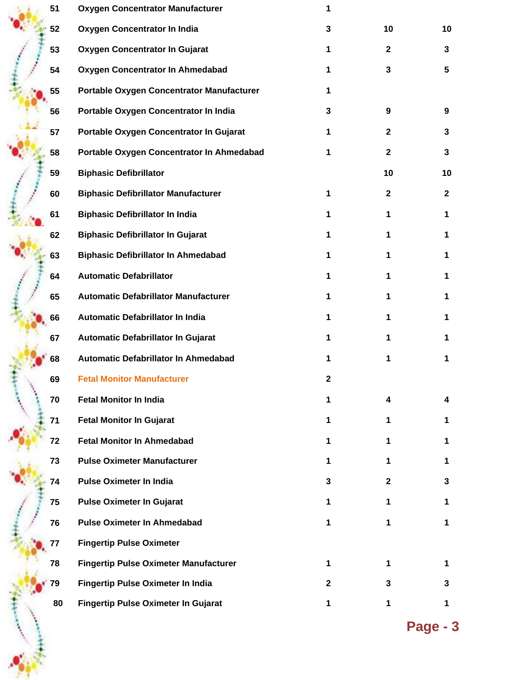| 51 | <b>Oxygen Concentrator Manufacturer</b>      | 1            |              |              |
|----|----------------------------------------------|--------------|--------------|--------------|
| 52 | Oxygen Concentrator In India                 | 3            | 10           | 10           |
| 53 | Oxygen Concentrator In Gujarat               | 1            | $\mathbf{2}$ | 3            |
| 54 | Oxygen Concentrator In Ahmedabad             | 1            | 3            | 5            |
| 55 | Portable Oxygen Concentrator Manufacturer    | 1            |              |              |
| 56 | Portable Oxygen Concentrator In India        | 3            | 9            | 9            |
| 57 | Portable Oxygen Concentrator In Gujarat      | 1            | $\mathbf 2$  | 3            |
| 58 | Portable Oxygen Concentrator In Ahmedabad    | 1            | $\mathbf{2}$ | 3            |
| 59 | <b>Biphasic Defibrillator</b>                |              | 10           | 10           |
| 60 | <b>Biphasic Defibrillator Manufacturer</b>   | 1            | $\mathbf 2$  | $\mathbf{2}$ |
| 61 | <b>Biphasic Defibrillator In India</b>       | 1            | 1            | 1            |
| 62 | <b>Biphasic Defibrillator In Gujarat</b>     | 1            | 1            | 1            |
| 63 | <b>Biphasic Defibrillator In Ahmedabad</b>   | 1            | 1            | 1            |
| 64 | <b>Automatic Defabrillator</b>               | 1            | 1            | 1            |
| 65 | <b>Automatic Defabrillator Manufacturer</b>  | 1            | 1            | 1            |
| 66 | Automatic Defabrillator In India             | 1            | 1            | 1            |
| 67 | Automatic Defabrillator In Gujarat           | 1            | 1            | 1            |
| 68 | Automatic Defabrillator In Ahmedabad         | 1            | 1            | 1            |
| 69 | <b>Fetal Monitor Manufacturer</b>            | $\mathbf{2}$ |              |              |
| 70 | <b>Fetal Monitor In India</b>                | 1            | 4            | 4            |
| 71 | <b>Fetal Monitor In Gujarat</b>              | 1            | 1            | 1            |
| 72 | <b>Fetal Monitor In Ahmedabad</b>            | 1            | 1            | 1            |
| 73 | <b>Pulse Oximeter Manufacturer</b>           | 1            | 1            | 1            |
| 74 | <b>Pulse Oximeter In India</b>               | 3            | $\mathbf{2}$ | 3            |
| 75 | <b>Pulse Oximeter In Gujarat</b>             | 1            | 1            | 1            |
| 76 | <b>Pulse Oximeter In Ahmedabad</b>           | 1            | 1            | 1            |
| 77 | <b>Fingertip Pulse Oximeter</b>              |              |              |              |
| 78 | <b>Fingertip Pulse Oximeter Manufacturer</b> | 1            | 1            | 1            |
| 79 | <b>Fingertip Pulse Oximeter In India</b>     | $\mathbf{2}$ | 3            | 3            |
| 80 | <b>Fingertip Pulse Oximeter In Gujarat</b>   | 1            | 1            | 1            |
|    |                                              |              |              |              |

**Page - 3**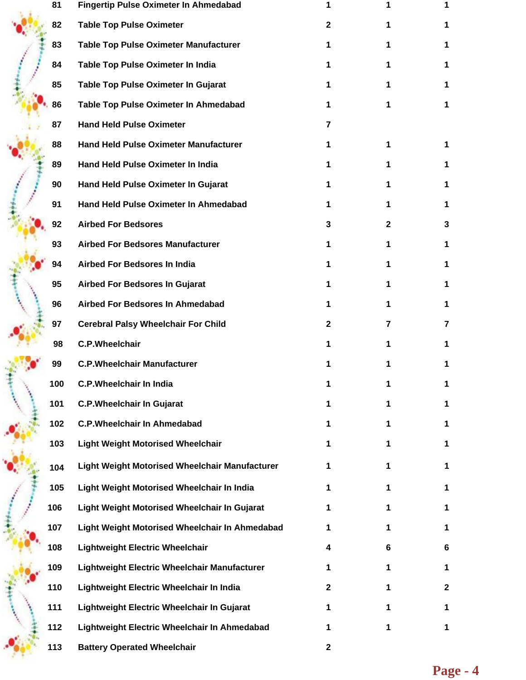|  | 81  | <b>Fingertip Pulse Oximeter In Ahmedabad</b>   |              |                |              |
|--|-----|------------------------------------------------|--------------|----------------|--------------|
|  | 82  | <b>Table Top Pulse Oximeter</b>                | 2            | 1              | 1            |
|  | 83  | <b>Table Top Pulse Oximeter Manufacturer</b>   | 1            | 1              | 1            |
|  | 84  | Table Top Pulse Oximeter In India              | 1            | 1              | 1            |
|  | 85  | Table Top Pulse Oximeter In Gujarat            | 1            | 1              |              |
|  | 86  | Table Top Pulse Oximeter In Ahmedabad          | 1            | 1              |              |
|  | 87  | <b>Hand Held Pulse Oximeter</b>                | 7            |                |              |
|  | 88  | <b>Hand Held Pulse Oximeter Manufacturer</b>   | 1            | 1              | 1            |
|  | 89  | Hand Held Pulse Oximeter In India              | 1            | 1              | 1            |
|  | 90  | Hand Held Pulse Oximeter In Gujarat            | 1            | 1              | 1            |
|  | 91  | Hand Held Pulse Oximeter In Ahmedabad          | 1            | 1              | 1            |
|  | 92  | <b>Airbed For Bedsores</b>                     | 3            | $\mathbf{2}$   | 3            |
|  | 93  | <b>Airbed For Bedsores Manufacturer</b>        | 1            | $\mathbf 1$    | 1.           |
|  | 94  | Airbed For Bedsores In India                   | 1            | 1              | 1            |
|  | 95  | <b>Airbed For Bedsores In Gujarat</b>          | 1            | 1              | 1            |
|  | 96  | Airbed For Bedsores In Ahmedabad               | 1            | 1              | 1            |
|  | 97  | <b>Cerebral Palsy Wheelchair For Child</b>     | $\mathbf{2}$ | $\overline{7}$ | 7            |
|  | 98  | <b>C.P.Wheelchair</b>                          | 1            | 1              | 1            |
|  | 99  | <b>C.P.Wheelchair Manufacturer</b>             | 1            | 1              | 1            |
|  | 100 | C.P. Wheelchair In India                       |              |                |              |
|  | 101 | <b>C.P.Wheelchair In Gujarat</b>               | 1            | 1              |              |
|  | 102 | <b>C.P.Wheelchair In Ahmedabad</b>             | 1            | 1              | 1            |
|  | 103 | <b>Light Weight Motorised Wheelchair</b>       | 1            | 1              | 1            |
|  | 104 | Light Weight Motorised Wheelchair Manufacturer | 1            | 1              | 1            |
|  | 105 | Light Weight Motorised Wheelchair In India     | 1            | 1              | 1            |
|  | 106 | Light Weight Motorised Wheelchair In Gujarat   | 1            | 1              | 1            |
|  | 107 | Light Weight Motorised Wheelchair In Ahmedabad | 1            | 1              | 1            |
|  | 108 | <b>Lightweight Electric Wheelchair</b>         | 4            | 6              | 6            |
|  | 109 | Lightweight Electric Wheelchair Manufacturer   | 1            | 1              | 1            |
|  | 110 | Lightweight Electric Wheelchair In India       | $\mathbf{2}$ | 1              | $\mathbf{2}$ |
|  | 111 | Lightweight Electric Wheelchair In Gujarat     | 1            | 1              | 1            |
|  | 112 | Lightweight Electric Wheelchair In Ahmedabad   | 1            | 1              | 1            |
|  | 113 | <b>Battery Operated Wheelchair</b>             | $\mathbf{2}$ |                |              |